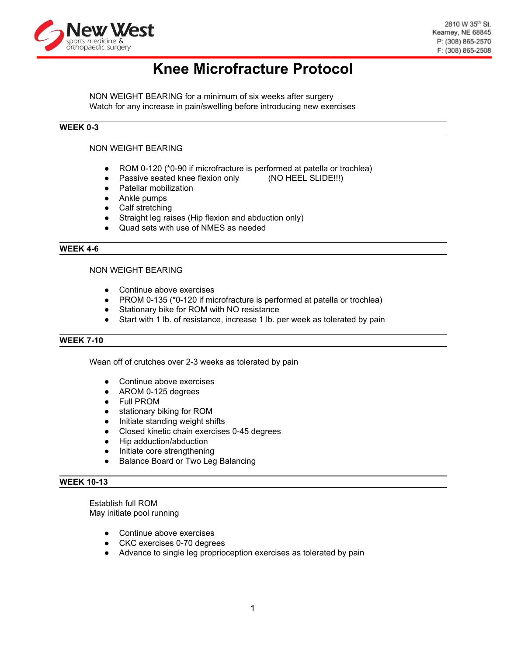

# **Knee Microfracture Protocol**

NON WEIGHT BEARING for a minimum of six weeks after surgery Watch for any increase in pain/swelling before introducing new exercises

## **WEEK 0-3**

### NON WEIGHT BEARING

- ROM 0-120 (\*0-90 if microfracture is performed at patella or trochlea)
- Passive seated knee flexion only (NO HEEL SLIDE!!!)
- Patellar mobilization
- Ankle pumps
- Calf stretching
- Straight leg raises (Hip flexion and abduction only)
- Quad sets with use of NMES as needed

#### **WEEK 4-6**

## NON WEIGHT BEARING

- Continue above exercises
- PROM 0-135 (\*0-120 if microfracture is performed at patella or trochlea)
- Stationary bike for ROM with NO resistance
- Start with 1 lb. of resistance, increase 1 lb. per week as tolerated by pain

#### **WEEK 7-10**

Wean off of crutches over 2-3 weeks as tolerated by pain

- Continue above exercises
- AROM 0-125 degrees
- Full PROM
- stationary biking for ROM
- Initiate standing weight shifts
- Closed kinetic chain exercises 0-45 degrees
- Hip adduction/abduction
- Initiate core strengthening
- Balance Board or Two Leg Balancing

#### **WEEK 10-13**

Establish full ROM May initiate pool running

- Continue above exercises
- CKC exercises 0-70 degrees
- Advance to single leg proprioception exercises as tolerated by pain